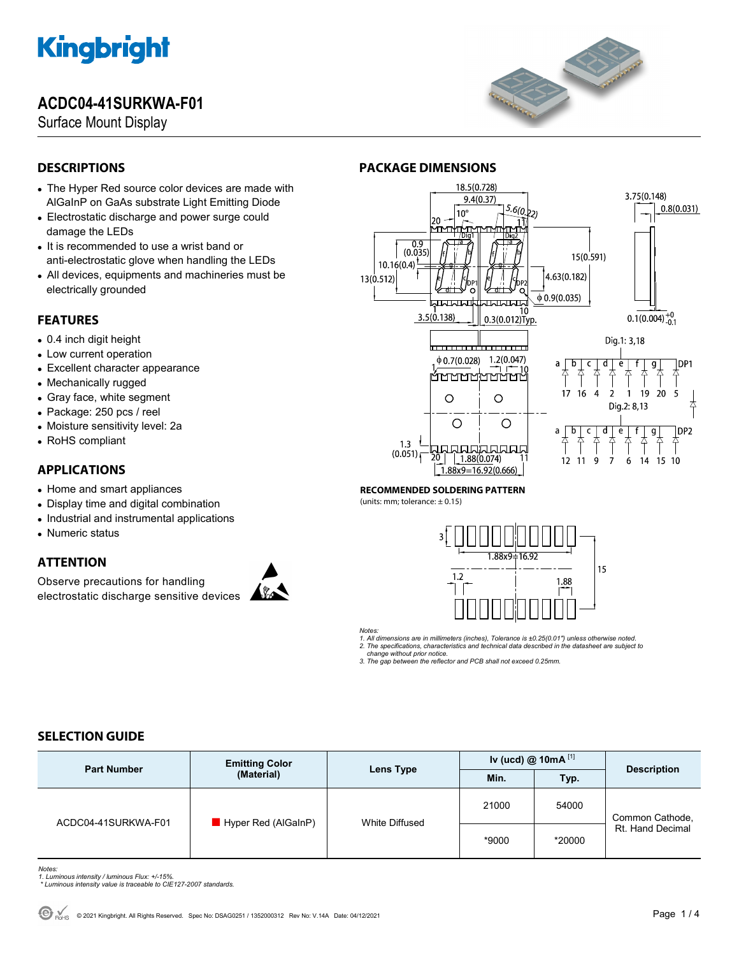## **ACDC04-41SURKWA-F01**

Surface Mount Display



### **DESCRIPTIONS**

- The Hyper Red source color devices are made with AlGaInP on GaAs substrate Light Emitting Diode
- Electrostatic discharge and power surge could damage the LEDs
- It is recommended to use a wrist band or anti-electrostatic glove when handling the LEDs
- All devices, equipments and machineries must be electrically grounded

#### **FEATURES**

- 0.4 inch digit height
- Low current operation
- Excellent character appearance
- Mechanically rugged
- Gray face, white segment
- Package: 250 pcs / reel
- Moisture sensitivity level: 2a
- RoHS compliant

### **APPLICATIONS**

- Home and smart appliances
- Display time and digital combination
- Industrial and instrumental applications
- Numeric status

### **ATTENTION**

Observe precautions for handling electrostatic discharge sensitive devices





#### **RECOMMENDED SOLDERING PATTERN**

**PACKAGE DIMENSIONS** 

(units: mm; tolerance:  $\pm$  0.15)



*Notes:* 

*1. All dimensions are in millimeters (inches), Tolerance is ±0.25(0.01") unless otherwise noted. 2. The specifications, characteristics and technical data described in the datasheet are subject to* 

 *change without prior notice.* 

*3. The gap between the reflector and PCB shall not exceed 0.25mm.* 

### **SELECTION GUIDE**

| <b>Part Number</b>  | <b>Emitting Color</b><br>(Material) | Lens Type      | Iv (ucd) @ $10mA$ <sup>[1]</sup> |        |                                     |
|---------------------|-------------------------------------|----------------|----------------------------------|--------|-------------------------------------|
|                     |                                     |                | Min.                             | Typ.   | <b>Description</b>                  |
| ACDC04-41SURKWA-F01 | Hyper Red (AlGaInP)                 | White Diffused | 21000                            | 54000  | Common Cathode,<br>Rt. Hand Decimal |
|                     |                                     |                | *9000                            | *20000 |                                     |

- *Notes: 1. Luminous intensity / luminous Flux: +/-15%.*
- *\* Luminous intensity value is traceable to CIE127-2007 standards.*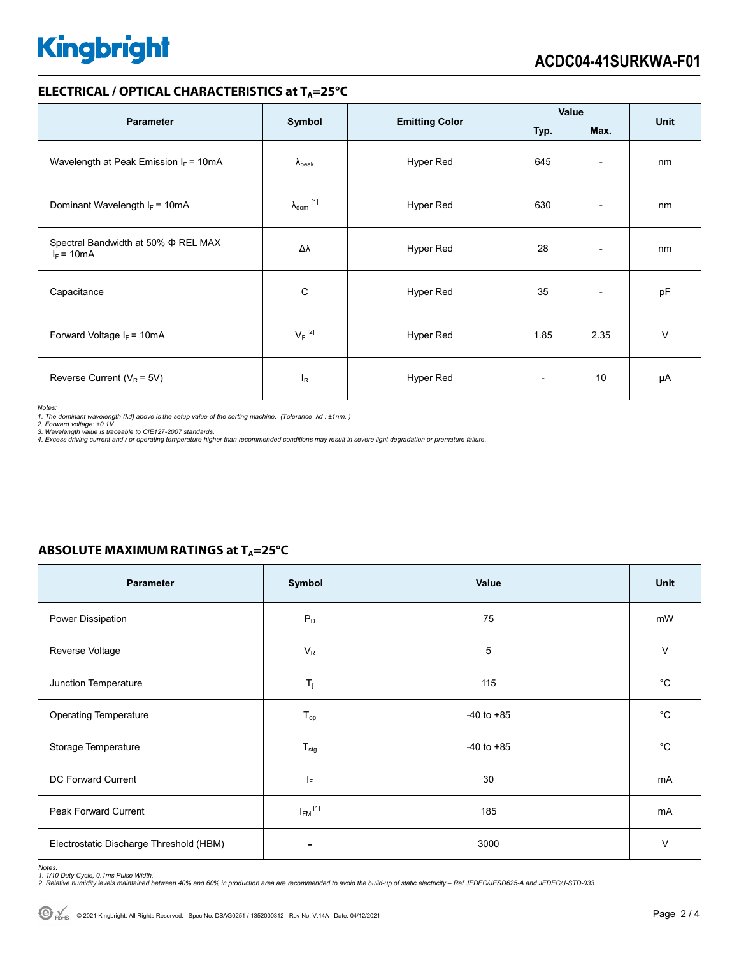#### **ELECTRICAL / OPTICAL CHARACTERISTICS at T<sub>A</sub>=25°C**

| <b>Parameter</b>                                         |                            | <b>Emitting Color</b> | Value                    |                              | Unit   |
|----------------------------------------------------------|----------------------------|-----------------------|--------------------------|------------------------------|--------|
|                                                          | Symbol<br>Typ.             |                       | Max.                     |                              |        |
| Wavelength at Peak Emission $I_F = 10mA$                 | $\lambda_{\rm peak}$       | Hyper Red             | 645                      | $\overline{\phantom{a}}$     | nm     |
| Dominant Wavelength $I_F = 10mA$                         | $\lambda_{\text{dom}}$ [1] | Hyper Red             | 630                      | $\qquad \qquad \blacksquare$ | nm     |
| Spectral Bandwidth at 50% $\Phi$ REL MAX<br>$I_F = 10mA$ | Δλ                         | Hyper Red             | 28                       | $\overline{\phantom{a}}$     | nm     |
| Capacitance                                              | C                          | Hyper Red             | 35                       | $\overline{\phantom{a}}$     | pF     |
| Forward Voltage $I_F = 10mA$                             | $V_F$ <sup>[2]</sup>       | Hyper Red             | 1.85                     | 2.35                         | $\vee$ |
| Reverse Current ( $V_R$ = 5V)                            | l <sub>R</sub>             | Hyper Red             | $\overline{\phantom{0}}$ | 10                           | μA     |

*Notes:* 

*1. The dominant wavelength (*λ*d) above is the setup value of the sorting machine. (Tolerance* λ*d : ±1nm. ) 2. Forward voltage: ±0.1V.* 

3. Wavelength value is traceable to CIE127-2007 standards.<br>4. Excess driving current and / or operating temperature higher than recommended conditions may result in severe light degradation or premature failure.

#### **ABSOLUTE MAXIMUM RATINGS at T<sub>A</sub>=25°C**

| Parameter                               | Symbol                  | Value          | Unit        |
|-----------------------------------------|-------------------------|----------------|-------------|
| Power Dissipation                       | $P_D$                   | 75             | mW          |
| Reverse Voltage                         | $V_R$                   | 5              | $\vee$      |
| Junction Temperature                    | $T_j$                   | 115            | $^{\circ}C$ |
| <b>Operating Temperature</b>            | $T_{op}$                | $-40$ to $+85$ | $^{\circ}C$ |
| Storage Temperature                     | $T_{\text{stg}}$        | $-40$ to $+85$ | $^{\circ}C$ |
| DC Forward Current                      | ΙF                      | 30             | mA          |
| Peak Forward Current                    | $I_{FM}$ <sup>[1]</sup> | 185            | mA          |
| Electrostatic Discharge Threshold (HBM) |                         | 3000           | $\vee$      |

Notes:<br>1. 1/10 Duty Cycle, 0.1ms Pulse Width.<br>2. Relative humidity levels maintained between 40% and 60% in production area are recommended to avoid the build-up of static electricity – Ref JEDEC/JESD625-A and JEDEC/J-STD-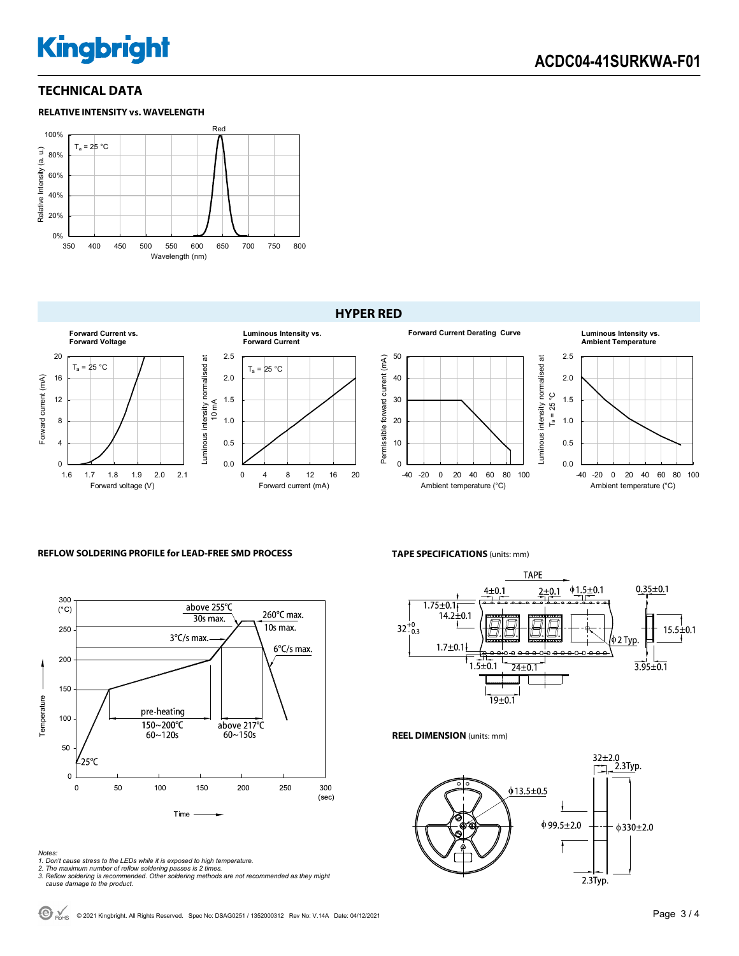#### **TECHNICAL DATA**





#### **HYPER RED**



#### **REFLOW SOLDERING PROFILE for LEAD-FREE SMD PROCESS**



#### *Notes:*

*1. Don't cause stress to the LEDs while it is exposed to high temperature.* 

- 
- *2. The maximum number of reflow soldering passes is 2 times. 3. Reflow soldering is recommended. Other soldering methods are not recommended as they might cause damage to the product.*

**TAPE SPECIFICATIONS** (units: mm)



#### **REEL DIMENSION** (units: mm)